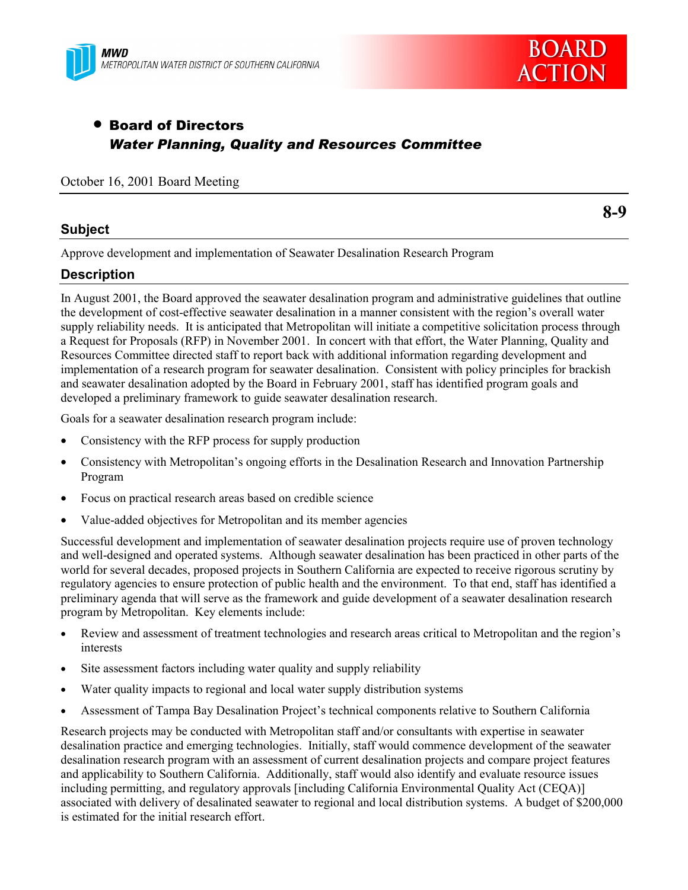



# • Board of Directors *Water Planning, Quality and Resources Committee*

#### October 16, 2001 Board Meeting

## **Subject**

**8-9**

Approve development and implementation of Seawater Desalination Research Program

# **Description**

In August 2001, the Board approved the seawater desalination program and administrative guidelines that outline the development of cost-effective seawater desalination in a manner consistent with the region's overall water supply reliability needs. It is anticipated that Metropolitan will initiate a competitive solicitation process through a Request for Proposals (RFP) in November 2001. In concert with that effort, the Water Planning, Quality and Resources Committee directed staff to report back with additional information regarding development and implementation of a research program for seawater desalination. Consistent with policy principles for brackish and seawater desalination adopted by the Board in February 2001, staff has identified program goals and developed a preliminary framework to guide seawater desalination research.

Goals for a seawater desalination research program include:

- Consistency with the RFP process for supply production
- Consistency with Metropolitan's ongoing efforts in the Desalination Research and Innovation Partnership Program
- Focus on practical research areas based on credible science
- Value-added objectives for Metropolitan and its member agencies

Successful development and implementation of seawater desalination projects require use of proven technology and well-designed and operated systems. Although seawater desalination has been practiced in other parts of the world for several decades, proposed projects in Southern California are expected to receive rigorous scrutiny by regulatory agencies to ensure protection of public health and the environment. To that end, staff has identified a preliminary agenda that will serve as the framework and guide development of a seawater desalination research program by Metropolitan. Key elements include:

- Review and assessment of treatment technologies and research areas critical to Metropolitan and the region's interests
- Site assessment factors including water quality and supply reliability
- Water quality impacts to regional and local water supply distribution systems
- Assessment of Tampa Bay Desalination Project's technical components relative to Southern California

Research projects may be conducted with Metropolitan staff and/or consultants with expertise in seawater desalination practice and emerging technologies. Initially, staff would commence development of the seawater desalination research program with an assessment of current desalination projects and compare project features and applicability to Southern California. Additionally, staff would also identify and evaluate resource issues including permitting, and regulatory approvals [including California Environmental Quality Act (CEQA)] associated with delivery of desalinated seawater to regional and local distribution systems. A budget of \$200,000 is estimated for the initial research effort.